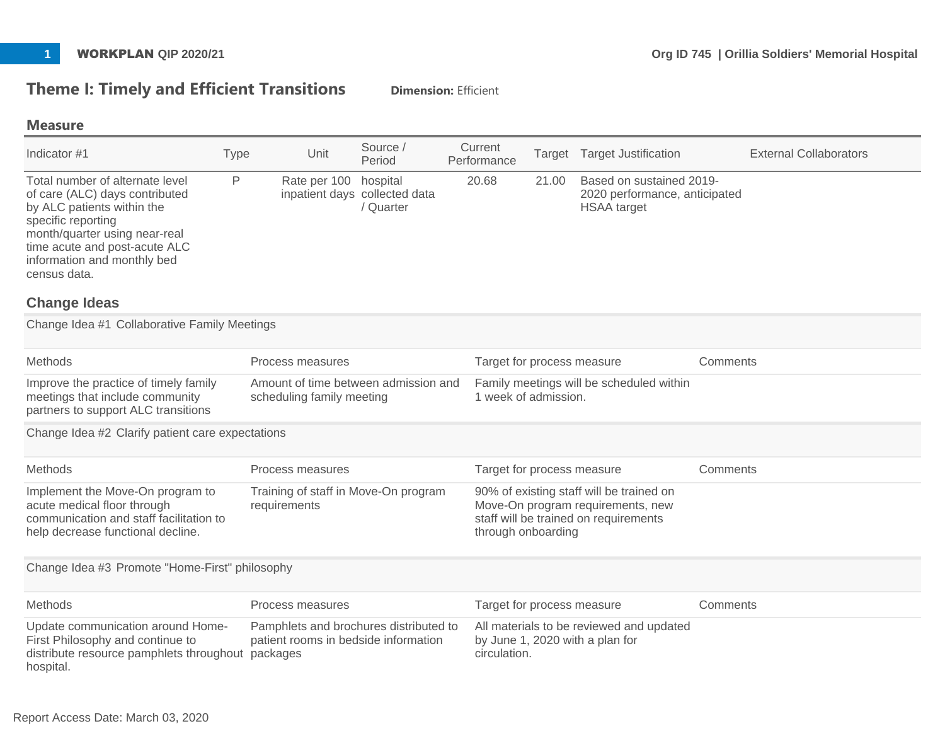# **Theme I: Timely and Efficient Transitions Dimension: Efficient**

#### **Measure**

| Indicator #1                                                                                                                                                                                                                                                  | Type | Unit                                                                           | Source /<br>Period                                     | Current<br>Performance | Target                                                                                                                                       | <b>Target Justification</b>                                                     | <b>External Collaborators</b> |
|---------------------------------------------------------------------------------------------------------------------------------------------------------------------------------------------------------------------------------------------------------------|------|--------------------------------------------------------------------------------|--------------------------------------------------------|------------------------|----------------------------------------------------------------------------------------------------------------------------------------------|---------------------------------------------------------------------------------|-------------------------------|
| Total number of alternate level<br>of care (ALC) days contributed<br>by ALC patients within the<br>specific reporting<br>month/quarter using near-real<br>time acute and post-acute ALC<br>information and monthly bed<br>census data.<br><b>Change Ideas</b> | P    | Rate per 100                                                                   | hospital<br>inpatient days collected data<br>/ Quarter | 20.68                  | 21.00                                                                                                                                        | Based on sustained 2019-<br>2020 performance, anticipated<br><b>HSAA</b> target |                               |
| Change Idea #1 Collaborative Family Meetings                                                                                                                                                                                                                  |      |                                                                                |                                                        |                        |                                                                                                                                              |                                                                                 |                               |
| Methods                                                                                                                                                                                                                                                       |      | Process measures                                                               |                                                        |                        | Target for process measure                                                                                                                   |                                                                                 | Comments                      |
| Improve the practice of timely family<br>meetings that include community<br>partners to support ALC transitions                                                                                                                                               |      | Amount of time between admission and<br>scheduling family meeting              |                                                        |                        | 1 week of admission.                                                                                                                         | Family meetings will be scheduled within                                        |                               |
| Change Idea #2 Clarify patient care expectations                                                                                                                                                                                                              |      |                                                                                |                                                        |                        |                                                                                                                                              |                                                                                 |                               |
| Methods                                                                                                                                                                                                                                                       |      | Process measures                                                               |                                                        |                        | Target for process measure                                                                                                                   |                                                                                 | Comments                      |
| Implement the Move-On program to<br>acute medical floor through<br>communication and staff facilitation to<br>help decrease functional decline.                                                                                                               |      | Training of staff in Move-On program<br>requirements                           |                                                        |                        | 90% of existing staff will be trained on<br>Move-On program requirements, new<br>staff will be trained on requirements<br>through onboarding |                                                                                 |                               |
| Change Idea #3 Promote "Home-First" philosophy                                                                                                                                                                                                                |      |                                                                                |                                                        |                        |                                                                                                                                              |                                                                                 |                               |
| Methods                                                                                                                                                                                                                                                       |      | Process measures                                                               |                                                        |                        | Target for process measure                                                                                                                   |                                                                                 | Comments                      |
| Update communication around Home-<br>First Philosophy and continue to<br>distribute resource pamphlets throughout packages<br>hospital.                                                                                                                       |      | Pamphlets and brochures distributed to<br>patient rooms in bedside information |                                                        | circulation.           |                                                                                                                                              | All materials to be reviewed and updated<br>by June 1, 2020 with a plan for     |                               |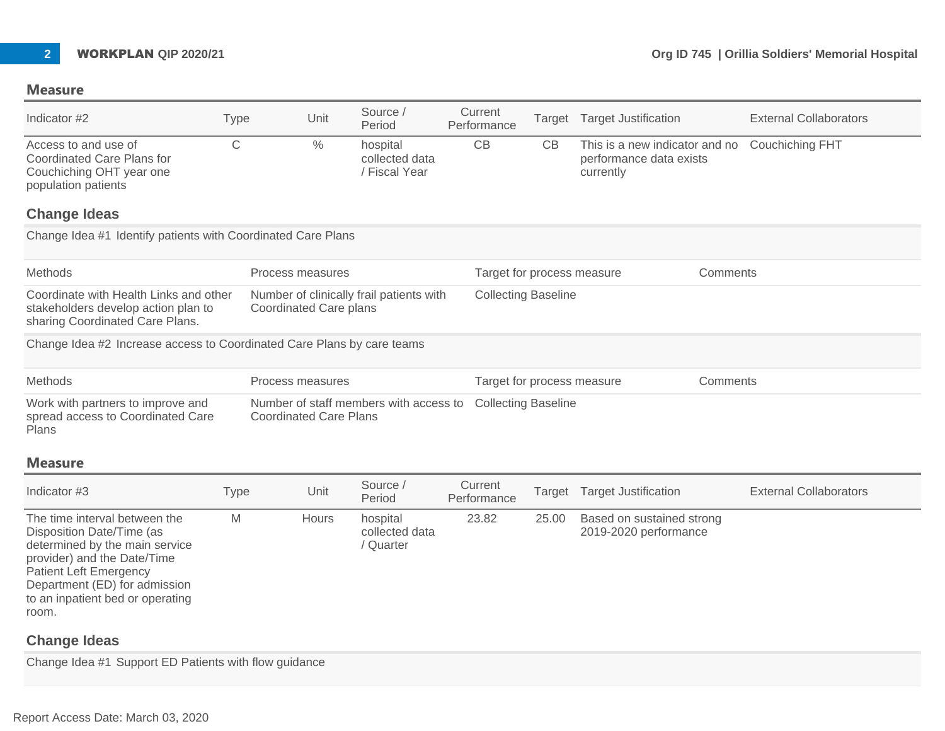| Indicator #2                                                                                                                                                                                                                               | Type         | Unit                                                                      | Source /<br>Period                          | Current<br>Performance     | Target | <b>Target Justification</b>                                            |          | <b>External Collaborators</b> |
|--------------------------------------------------------------------------------------------------------------------------------------------------------------------------------------------------------------------------------------------|--------------|---------------------------------------------------------------------------|---------------------------------------------|----------------------------|--------|------------------------------------------------------------------------|----------|-------------------------------|
| Access to and use of<br><b>Coordinated Care Plans for</b><br>Couchiching OHT year one<br>population patients                                                                                                                               | $\mathsf{C}$ | $\frac{0}{0}$                                                             | hospital<br>collected data<br>/ Fiscal Year | CB                         | CB     | This is a new indicator and no<br>performance data exists<br>currently |          | <b>Couchiching FHT</b>        |
| <b>Change Ideas</b>                                                                                                                                                                                                                        |              |                                                                           |                                             |                            |        |                                                                        |          |                               |
| Change Idea #1 Identify patients with Coordinated Care Plans                                                                                                                                                                               |              |                                                                           |                                             |                            |        |                                                                        |          |                               |
| Methods                                                                                                                                                                                                                                    |              | Process measures                                                          |                                             | Target for process measure |        |                                                                        | Comments |                               |
| Coordinate with Health Links and other<br>stakeholders develop action plan to<br>sharing Coordinated Care Plans.                                                                                                                           |              | Number of clinically frail patients with<br><b>Coordinated Care plans</b> |                                             | <b>Collecting Baseline</b> |        |                                                                        |          |                               |
| Change Idea #2 Increase access to Coordinated Care Plans by care teams                                                                                                                                                                     |              |                                                                           |                                             |                            |        |                                                                        |          |                               |
| Methods                                                                                                                                                                                                                                    |              | Process measures                                                          |                                             | Target for process measure |        |                                                                        | Comments |                               |
| Work with partners to improve and<br>spread access to Coordinated Care<br>Plans                                                                                                                                                            |              | Number of staff members with access to<br><b>Coordinated Care Plans</b>   |                                             | <b>Collecting Baseline</b> |        |                                                                        |          |                               |
| <b>Measure</b>                                                                                                                                                                                                                             |              |                                                                           |                                             |                            |        |                                                                        |          |                               |
| Indicator #3                                                                                                                                                                                                                               | Type         | Unit                                                                      | Source /<br>Period                          | Current<br>Performance     | Target | <b>Target Justification</b>                                            |          | <b>External Collaborators</b> |
| The time interval between the<br>Disposition Date/Time (as<br>determined by the main service<br>provider) and the Date/Time<br><b>Patient Left Emergency</b><br>Department (ED) for admission<br>to an inpatient bed or operating<br>room. | M            | <b>Hours</b>                                                              | hospital<br>collected data<br>/ Quarter     | 23.82                      | 25.00  | Based on sustained strong<br>2019-2020 performance                     |          |                               |

## **Change Ideas**

Change Idea #1 Support ED Patients with flow guidance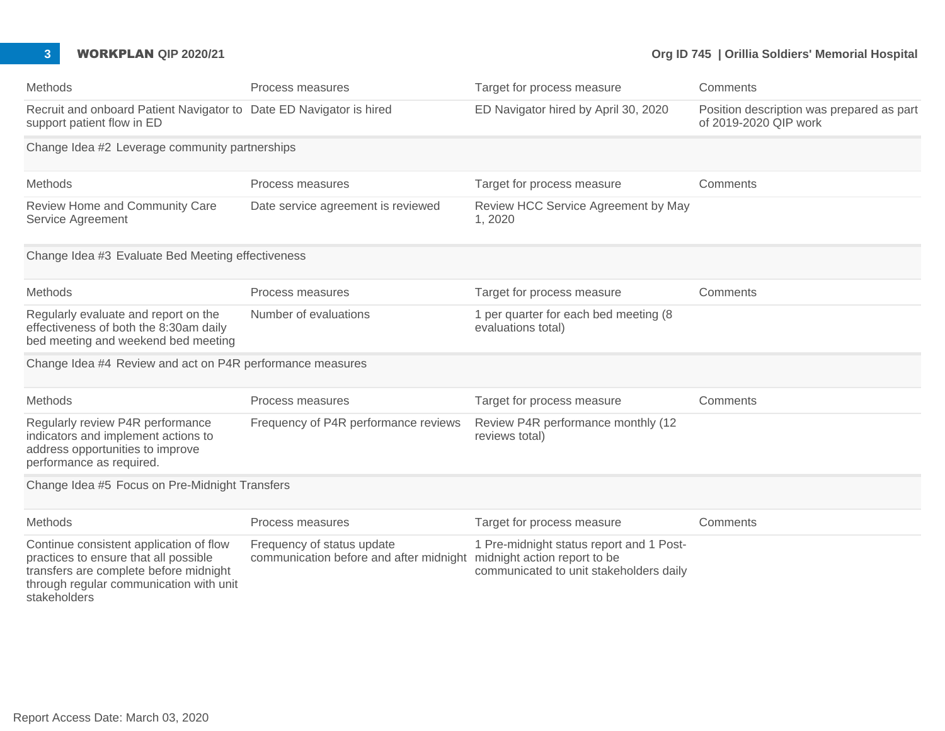#### **3 WORKPLAN QIP 2020/21 Org ID 745 | Orillia Soldiers' Memorial Hospital**

| Methods                                                                                                                                                                               | Process measures                                                                                   | Target for process measure                                                          | Comments                                                           |
|---------------------------------------------------------------------------------------------------------------------------------------------------------------------------------------|----------------------------------------------------------------------------------------------------|-------------------------------------------------------------------------------------|--------------------------------------------------------------------|
| Recruit and onboard Patient Navigator to Date ED Navigator is hired<br>support patient flow in ED                                                                                     |                                                                                                    | ED Navigator hired by April 30, 2020                                                | Position description was prepared as part<br>of 2019-2020 QIP work |
| Change Idea #2 Leverage community partnerships                                                                                                                                        |                                                                                                    |                                                                                     |                                                                    |
| Methods                                                                                                                                                                               | Process measures                                                                                   | Target for process measure                                                          | Comments                                                           |
| Review Home and Community Care<br>Service Agreement                                                                                                                                   | Date service agreement is reviewed                                                                 | Review HCC Service Agreement by May<br>1,2020                                       |                                                                    |
| Change Idea #3 Evaluate Bed Meeting effectiveness                                                                                                                                     |                                                                                                    |                                                                                     |                                                                    |
| Methods                                                                                                                                                                               | Process measures                                                                                   | Target for process measure                                                          | Comments                                                           |
| Regularly evaluate and report on the<br>effectiveness of both the 8:30am daily<br>bed meeting and weekend bed meeting                                                                 | Number of evaluations                                                                              | 1 per quarter for each bed meeting (8<br>evaluations total)                         |                                                                    |
| Change Idea #4 Review and act on P4R performance measures                                                                                                                             |                                                                                                    |                                                                                     |                                                                    |
| Methods                                                                                                                                                                               | Process measures                                                                                   | Target for process measure                                                          | Comments                                                           |
| Regularly review P4R performance<br>indicators and implement actions to<br>address opportunities to improve<br>performance as required.                                               | Frequency of P4R performance reviews                                                               | Review P4R performance monthly (12<br>reviews total)                                |                                                                    |
| Change Idea #5 Focus on Pre-Midnight Transfers                                                                                                                                        |                                                                                                    |                                                                                     |                                                                    |
| Methods                                                                                                                                                                               | Process measures                                                                                   | Target for process measure                                                          | Comments                                                           |
| Continue consistent application of flow<br>practices to ensure that all possible<br>transfers are complete before midnight<br>through regular communication with unit<br>stakeholders | Frequency of status update<br>communication before and after midnight midnight action report to be | 1 Pre-midnight status report and 1 Post-<br>communicated to unit stakeholders daily |                                                                    |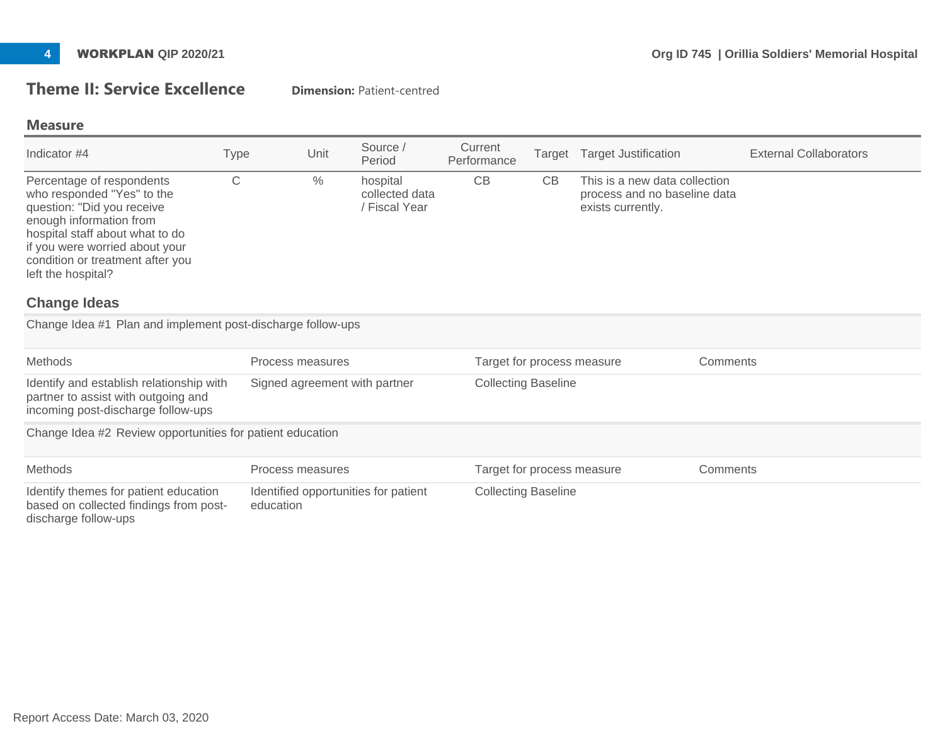## **Theme II: Service Excellence** Dimension: Patient-centred

#### **Measure**

| Indicator #4                                                                                                                                                                                                                                                           | <b>Type</b>                                               | Unit                          | Source /<br>Period                          | Current<br>Performance     | Target | <b>Target Justification</b>                                                        | <b>External Collaborators</b> |  |
|------------------------------------------------------------------------------------------------------------------------------------------------------------------------------------------------------------------------------------------------------------------------|-----------------------------------------------------------|-------------------------------|---------------------------------------------|----------------------------|--------|------------------------------------------------------------------------------------|-------------------------------|--|
| Percentage of respondents<br>who responded "Yes" to the<br>question: "Did you receive<br>enough information from<br>hospital staff about what to do<br>if you were worried about your<br>condition or treatment after you<br>left the hospital?<br><b>Change Ideas</b> | C                                                         | $\%$                          | hospital<br>collected data<br>/ Fiscal Year | CB                         | CB     | This is a new data collection<br>process and no baseline data<br>exists currently. |                               |  |
| Change Idea #1 Plan and implement post-discharge follow-ups                                                                                                                                                                                                            |                                                           |                               |                                             |                            |        |                                                                                    |                               |  |
| <b>Methods</b>                                                                                                                                                                                                                                                         |                                                           | Process measures              |                                             | Target for process measure |        |                                                                                    | Comments                      |  |
| Identify and establish relationship with<br>partner to assist with outgoing and<br>incoming post-discharge follow-ups                                                                                                                                                  |                                                           | Signed agreement with partner |                                             | <b>Collecting Baseline</b> |        |                                                                                    |                               |  |
|                                                                                                                                                                                                                                                                        | Change Idea #2 Review opportunities for patient education |                               |                                             |                            |        |                                                                                    |                               |  |
| Methods                                                                                                                                                                                                                                                                |                                                           | Process measures              |                                             | Target for process measure |        |                                                                                    | Comments                      |  |
| Identify themes for patient education<br>based on collected findings from post-<br>discharge follow-ups                                                                                                                                                                | education                                                 |                               | Identified opportunities for patient        | <b>Collecting Baseline</b> |        |                                                                                    |                               |  |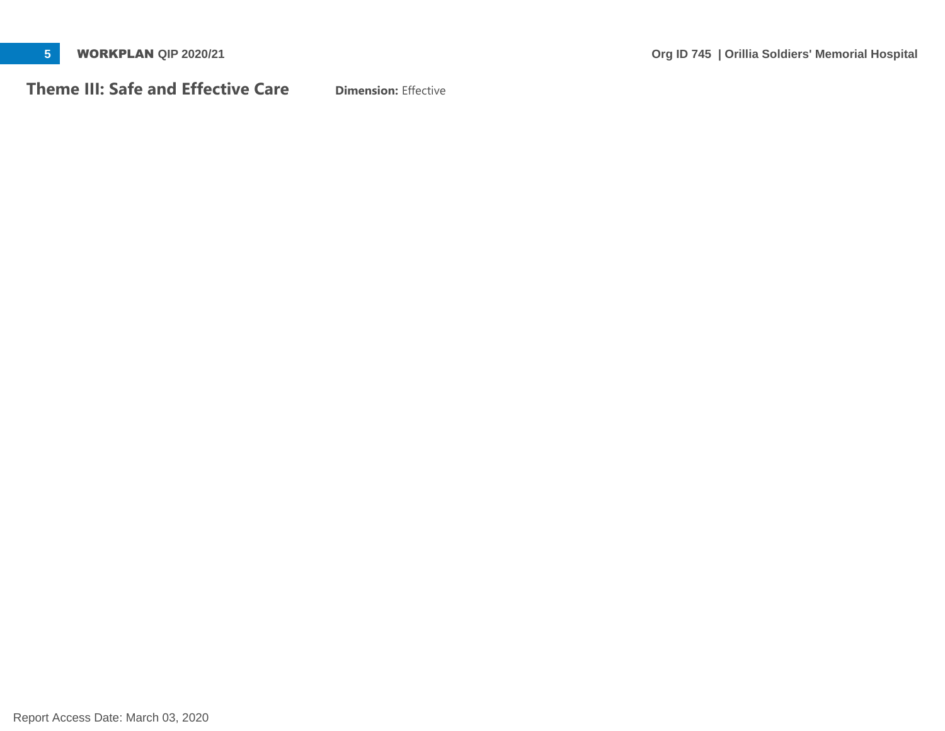**Theme III: Safe and Effective Care** Dimension: Effective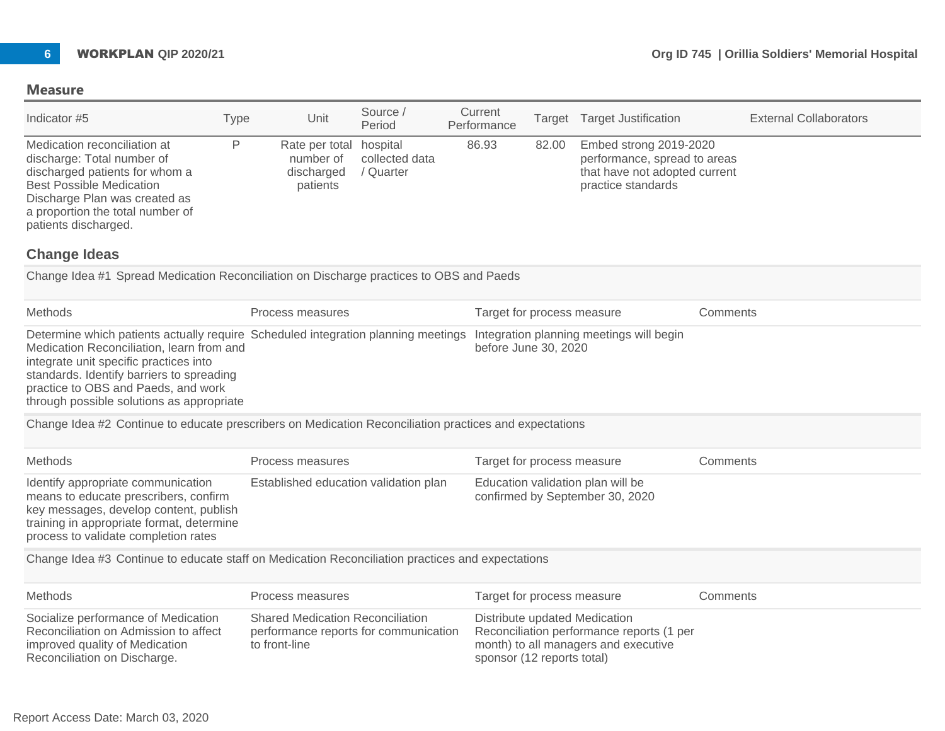| Indicator #5                                                                                                                                                                                                                 | Type | Unit                                                           | Source /<br>Period          | Current<br>Performance | Target | <b>Target Justification</b>                                                                                   | <b>External Collaborators</b> |
|------------------------------------------------------------------------------------------------------------------------------------------------------------------------------------------------------------------------------|------|----------------------------------------------------------------|-----------------------------|------------------------|--------|---------------------------------------------------------------------------------------------------------------|-------------------------------|
| Medication reconciliation at<br>discharge: Total number of<br>discharged patients for whom a<br><b>Best Possible Medication</b><br>Discharge Plan was created as<br>a proportion the total number of<br>patients discharged. |      | Rate per total hospital<br>number of<br>discharged<br>patients | collected data<br>' Quarter | 86.93                  | 82.00  | Embed strong 2019-2020<br>performance, spread to areas<br>that have not adopted current<br>practice standards |                               |

#### **Change Ideas**

Change Idea #1 Spread Medication Reconciliation on Discharge practices to OBS and Paeds

| <b>Methods</b>                                                                                                                                                                                                                                                                                                                                     | Process measures | Target for process measure | Comments |
|----------------------------------------------------------------------------------------------------------------------------------------------------------------------------------------------------------------------------------------------------------------------------------------------------------------------------------------------------|------------------|----------------------------|----------|
| Determine which patients actually require Scheduled integration planning meetings Integration planning meetings will begin<br>Medication Reconciliation, learn from and<br>integrate unit specific practices into<br>standards. Identify barriers to spreading<br>practice to OBS and Paeds, and work<br>through possible solutions as appropriate |                  | before June 30, 2020       |          |

Change Idea #2 Continue to educate prescribers on Medication Reconciliation practices and expectations

| Methods                                                                                                                                                                                                    | Process measures                      | Target for process measure                                           | Comments |
|------------------------------------------------------------------------------------------------------------------------------------------------------------------------------------------------------------|---------------------------------------|----------------------------------------------------------------------|----------|
| Identify appropriate communication<br>means to educate prescribers, confirm<br>key messages, develop content, publish<br>training in appropriate format, determine<br>process to validate completion rates | Established education validation plan | Education validation plan will be<br>confirmed by September 30, 2020 |          |

Change Idea #3 Continue to educate staff on Medication Reconciliation practices and expectations

| Methods                                                                                                                                        | Process measures                                                                                  | Target for process measure                                                                                                                       | Comments |
|------------------------------------------------------------------------------------------------------------------------------------------------|---------------------------------------------------------------------------------------------------|--------------------------------------------------------------------------------------------------------------------------------------------------|----------|
| Socialize performance of Medication<br>Reconciliation on Admission to affect<br>improved quality of Medication<br>Reconciliation on Discharge. | <b>Shared Medication Reconciliation</b><br>performance reports for communication<br>to front-line | Distribute updated Medication<br>Reconciliation performance reports (1 per<br>month) to all managers and executive<br>sponsor (12 reports total) |          |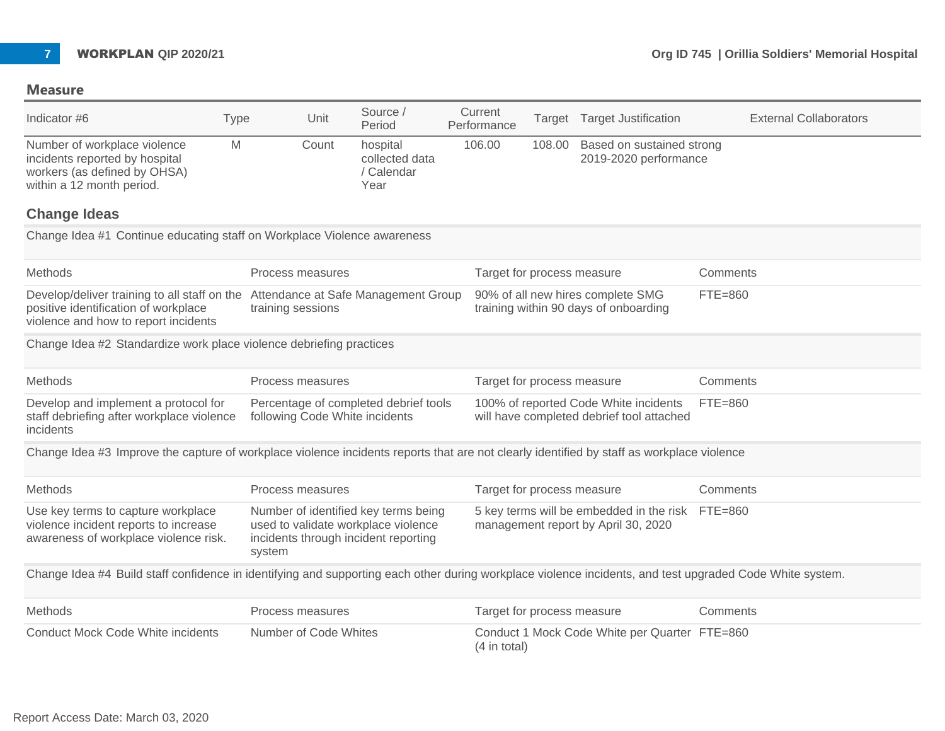

| Indicator #6                                                                                                                                                     | Type   | Unit                  | Source /<br>Period                                                                                                  | Current<br>Performance     |        | Target Target Justification                                                             | <b>External Collaborators</b> |
|------------------------------------------------------------------------------------------------------------------------------------------------------------------|--------|-----------------------|---------------------------------------------------------------------------------------------------------------------|----------------------------|--------|-----------------------------------------------------------------------------------------|-------------------------------|
| Number of workplace violence<br>incidents reported by hospital<br>workers (as defined by OHSA)<br>within a 12 month period.<br><b>Change Ideas</b>               | M      | Count                 | hospital<br>collected data<br>/ Calendar<br>Year                                                                    | 106.00                     | 108.00 | Based on sustained strong<br>2019-2020 performance                                      |                               |
| Change Idea #1 Continue educating staff on Workplace Violence awareness                                                                                          |        |                       |                                                                                                                     |                            |        |                                                                                         |                               |
| Methods                                                                                                                                                          |        | Process measures      |                                                                                                                     | Target for process measure |        |                                                                                         | Comments                      |
| Develop/deliver training to all staff on the Attendance at Safe Management Group<br>positive identification of workplace<br>violence and how to report incidents |        | training sessions     |                                                                                                                     |                            |        | 90% of all new hires complete SMG<br>training within 90 days of onboarding              | $FTE=860$                     |
| Change Idea #2 Standardize work place violence debriefing practices                                                                                              |        |                       |                                                                                                                     |                            |        |                                                                                         |                               |
| Methods                                                                                                                                                          |        | Process measures      |                                                                                                                     | Target for process measure |        |                                                                                         | Comments                      |
| Develop and implement a protocol for<br>staff debriefing after workplace violence<br>incidents                                                                   |        |                       | Percentage of completed debrief tools<br>following Code White incidents                                             |                            |        | 100% of reported Code White incidents<br>will have completed debrief tool attached      | FTE=860                       |
| Change Idea #3 Improve the capture of workplace violence incidents reports that are not clearly identified by staff as workplace violence                        |        |                       |                                                                                                                     |                            |        |                                                                                         |                               |
| Methods                                                                                                                                                          |        | Process measures      |                                                                                                                     | Target for process measure |        |                                                                                         | Comments                      |
| Use key terms to capture workplace<br>violence incident reports to increase<br>awareness of workplace violence risk.                                             | system |                       | Number of identified key terms being<br>used to validate workplace violence<br>incidents through incident reporting |                            |        | 5 key terms will be embedded in the risk FTE=860<br>management report by April 30, 2020 |                               |
| Change Idea #4 Build staff confidence in identifying and supporting each other during workplace violence incidents, and test upgraded Code White system.         |        |                       |                                                                                                                     |                            |        |                                                                                         |                               |
| Methods                                                                                                                                                          |        | Process measures      |                                                                                                                     | Target for process measure |        |                                                                                         | Comments                      |
| <b>Conduct Mock Code White incidents</b>                                                                                                                         |        | Number of Code Whites |                                                                                                                     | (4 in total)               |        | Conduct 1 Mock Code White per Quarter FTE=860                                           |                               |